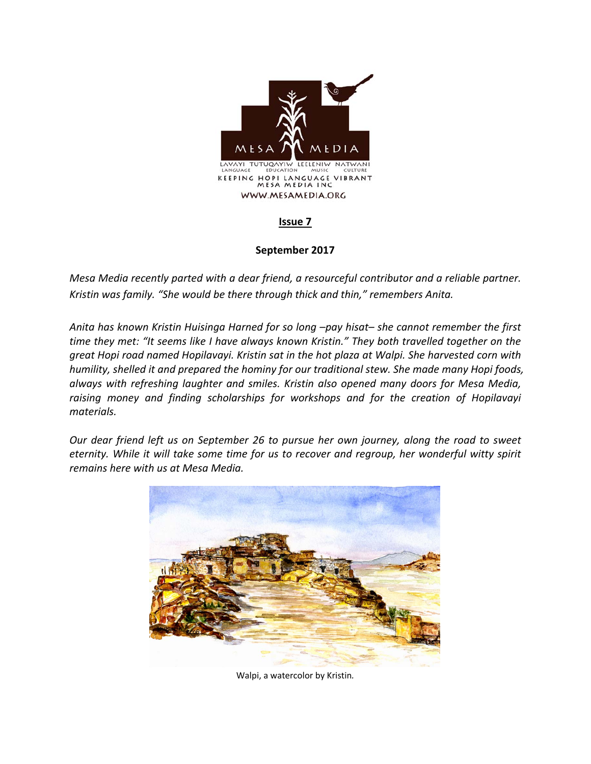

## **Issue 7**

## **September 2017**

*Mesa Media recently parted with a dear friend, a resourceful contributor and a reliable partner. Kristin was family. "She would be there through thick and thin," remembers Anita.* 

*Anita has known Kristin Huisinga Harned for so long –pay hisat– she cannot remember the first time they met: "It seems like I have always known Kristin." They both travelled together on the great Hopi road named Hopilavayi. Kristin sat in the hot plaza at Walpi. She harvested corn with humility, shelled it and prepared the hominy for our traditional stew. She made many Hopi foods, always with refreshing laughter and smiles. Kristin also opened many doors for Mesa Media, raising money and finding scholarships for workshops and for the creation of Hopilavayi materials.* 

*Our dear friend left us on September 26 to pursue her own journey, along the road to sweet eternity. While it will take some time for us to recover and regroup, her wonderful witty spirit remains here with us at Mesa Media.* 



Walpi, a watercolor by Kristin*.*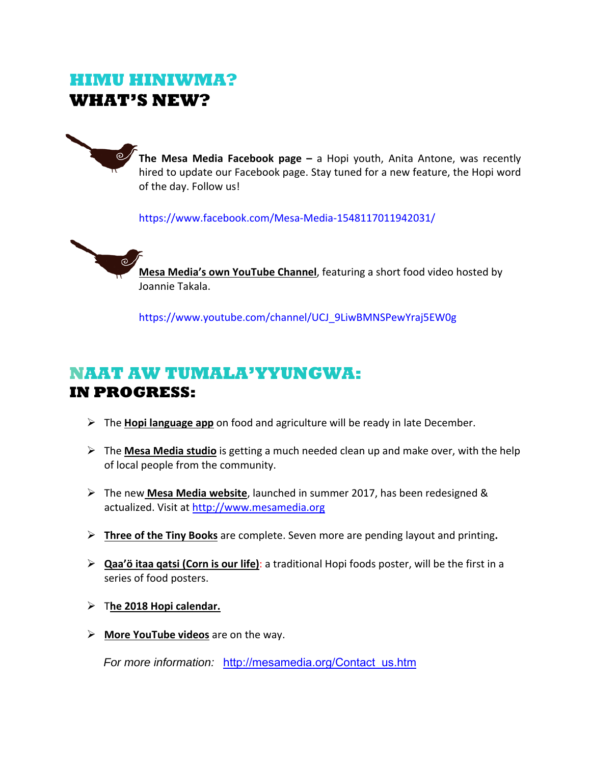## **HIMU HINIWMA? WHAT'S NEW?**



**The Mesa Media Facebook page - a Hopi youth, Anita Antone, was recently** hired to update our Facebook page. Stay tuned for a new feature, the Hopi word of the day. Follow us!

https://www.facebook.com/Mesa‐Media‐1548117011942031/



**Mesa Media's own YouTube Channel**, featuring a short food video hosted by Joannie Takala.

https://www.youtube.com/channel/UCJ\_9LiwBMNSPewYraj5EW0g

## **NAAT AW TUMALA'YYUNGWA: IN PROGRESS:**

- The **Hopi language app** on food and agriculture will be ready in late December.
- The **Mesa Media studio** is getting a much needed clean up and make over, with the help of local people from the community.
- The new **Mesa Media website**, launched in summer 2017, has been redesigned & actualized. Visit at http://www.mesamedia.org
- **Three of the Tiny Books** are complete. Seven more are pending layout and printing**.**
- **Qaa'ö itaa qatsi (Corn is our life)**: a traditional Hopi foods poster, will be the first in a series of food posters.
- T**he 2018 Hopi calendar.**
- **More YouTube videos** are on the way.

*For more information:* http://mesamedia.org/Contact\_us.htm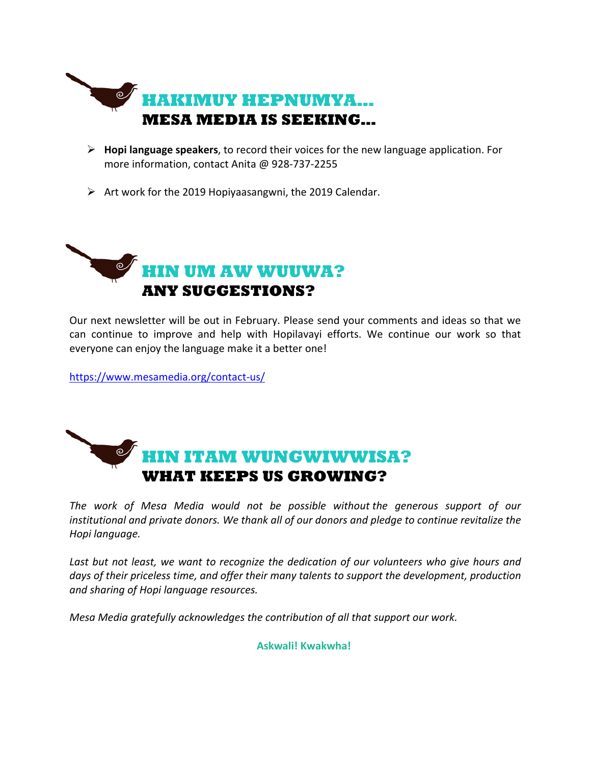

- **Hopi language speakers**, to record their voices for the new language application. For more information, contact Anita @ 928‐737‐2255
- $\triangleright$  Art work for the 2019 Hopiyaasangwni, the 2019 Calendar.



Our next newsletter will be out in February. Please send your comments and ideas so that we can continue to improve and help with Hopilavayi efforts. We continue our work so that everyone can enjoy the language make it a better one!

https://www.mesamedia.org/contact‐us/



*The work of Mesa Media would not be possible without the generous support of our institutional and private donors. We thank all of our donors and pledge to continue revitalize the Hopi language.*

Last but not least, we want to recognize the dedication of our volunteers who give hours and *days of their priceless time, and offer their many talents to support the development, production and sharing of Hopi language resources.* 

*Mesa Media gratefully acknowledges the contribution of all that support our work.*

**Askwali! Kwakwha!**